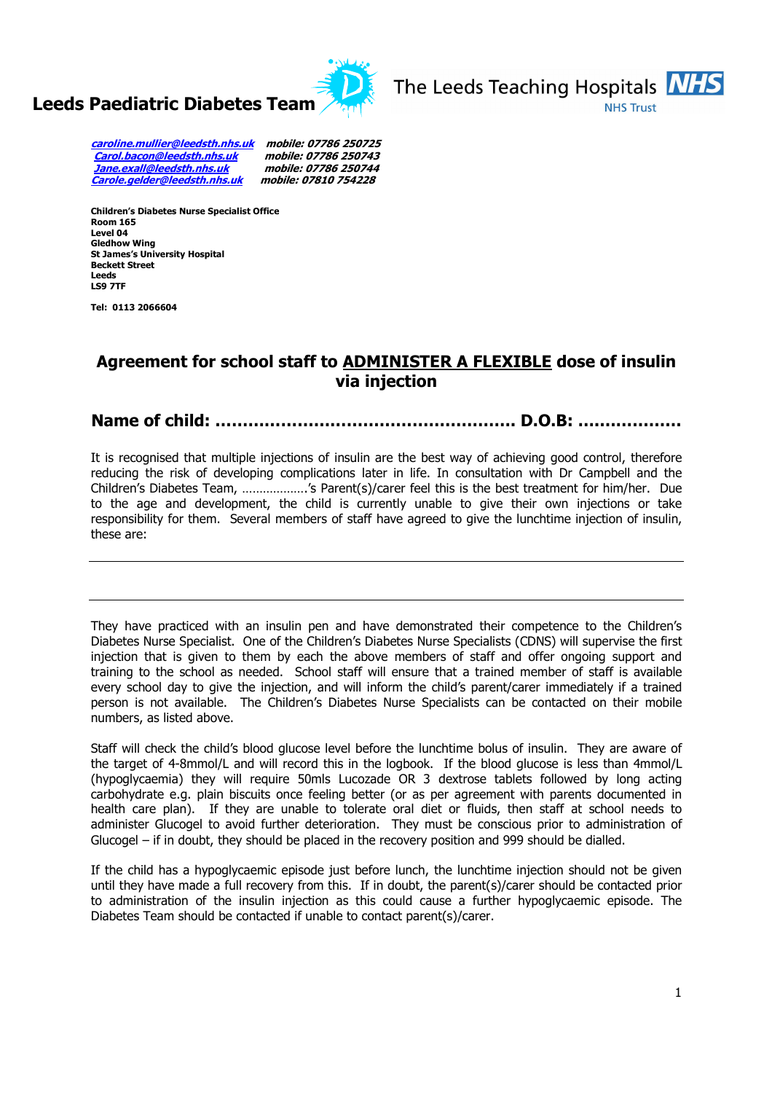



caroline.mullier@leedsth.nhs.uk mobile: 07786 250725 Carol.bacon@leedsth.nhs.uk mobile: 07786 250743 Jane.exall@leedsth.nhs.uk mobile: 07786 250744 Carole.gelder@leedsth.nhs.uk mobile: 07810 754228

Children's Diabetes Nurse Specialist Office Room 165 Level 04 Gledhow Wing St James's University Hospital Beckett Street Leeds LS9 7TF

Tel: 0113 2066604

## Agreement for school staff to ADMINISTER A FLEXIBLE dose of insulin via injection

Name of child: ………………………………………………. D.O.B: ….……………

It is recognised that multiple injections of insulin are the best way of achieving good control, therefore reducing the risk of developing complications later in life. In consultation with Dr Campbell and the Children's Diabetes Team, ……………….'s Parent(s)/carer feel this is the best treatment for him/her. Due to the age and development, the child is currently unable to give their own injections or take responsibility for them. Several members of staff have agreed to give the lunchtime injection of insulin, these are:

They have practiced with an insulin pen and have demonstrated their competence to the Children's Diabetes Nurse Specialist. One of the Children's Diabetes Nurse Specialists (CDNS) will supervise the first injection that is given to them by each the above members of staff and offer ongoing support and training to the school as needed. School staff will ensure that a trained member of staff is available every school day to give the injection, and will inform the child's parent/carer immediately if a trained person is not available. The Children's Diabetes Nurse Specialists can be contacted on their mobile numbers, as listed above.

Staff will check the child's blood glucose level before the lunchtime bolus of insulin. They are aware of the target of 4-8mmol/L and will record this in the logbook. If the blood glucose is less than 4mmol/L (hypoglycaemia) they will require 50mls Lucozade OR 3 dextrose tablets followed by long acting carbohydrate e.g. plain biscuits once feeling better (or as per agreement with parents documented in health care plan). If they are unable to tolerate oral diet or fluids, then staff at school needs to administer Glucogel to avoid further deterioration. They must be conscious prior to administration of Glucogel – if in doubt, they should be placed in the recovery position and 999 should be dialled.

If the child has a hypoglycaemic episode just before lunch, the lunchtime injection should not be given until they have made a full recovery from this. If in doubt, the parent(s)/carer should be contacted prior to administration of the insulin injection as this could cause a further hypoglycaemic episode. The Diabetes Team should be contacted if unable to contact parent(s)/carer.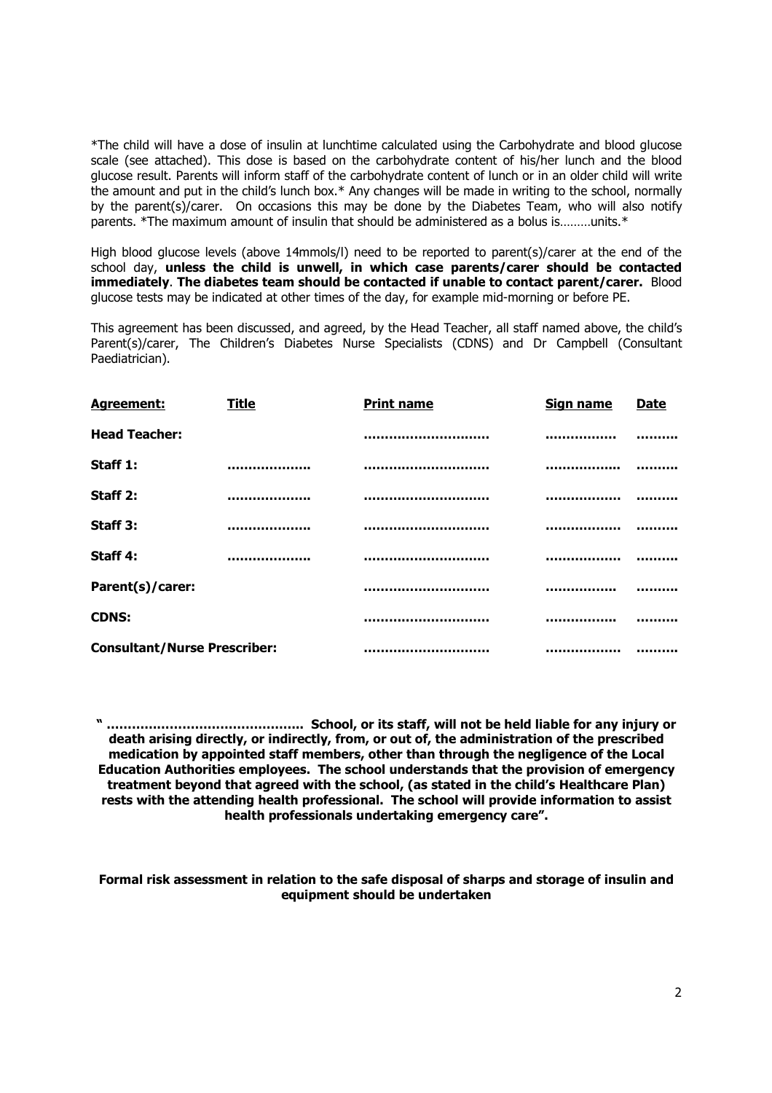\*The child will have a dose of insulin at lunchtime calculated using the Carbohydrate and blood glucose scale (see attached). This dose is based on the carbohydrate content of his/her lunch and the blood glucose result. Parents will inform staff of the carbohydrate content of lunch or in an older child will write the amount and put in the child's lunch box.\* Any changes will be made in writing to the school, normally by the parent(s)/carer. On occasions this may be done by the Diabetes Team, who will also notify parents. \*The maximum amount of insulin that should be administered as a bolus is………units.\*

High blood glucose levels (above 14mmols/l) need to be reported to parent(s)/carer at the end of the school day, unless the child is unwell, in which case parents/carer should be contacted immediately. The diabetes team should be contacted if unable to contact parent/carer. Blood glucose tests may be indicated at other times of the day, for example mid-morning or before PE.

This agreement has been discussed, and agreed, by the Head Teacher, all staff named above, the child's Parent(s)/carer, The Children's Diabetes Nurse Specialists (CDNS) and Dr Campbell (Consultant Paediatrician).

| Agreement:                          | <b>Title</b> | <b>Print name</b>              | <b>Sign name</b> | <b>Date</b> |
|-------------------------------------|--------------|--------------------------------|------------------|-------------|
| <b>Head Teacher:</b>                |              | ,,,,,,,,,,,,,,,,,,,,,,,,,,,,,, |                  |             |
| Staff 1:                            |              |                                |                  |             |
| Staff 2:                            |              |                                |                  |             |
| Staff 3:                            |              |                                |                  |             |
| Staff 4:                            |              |                                |                  |             |
| Parent(s)/carer:                    |              |                                |                  |             |
| <b>CDNS:</b>                        |              |                                |                  |             |
| <b>Consultant/Nurse Prescriber:</b> |              | ,,,,,,,,,,,,,,,,,,,,,,,,,,,,,, |                  |             |

" ……………………………………….. School, or its staff, will not be held liable for any injury or death arising directly, or indirectly, from, or out of, the administration of the prescribed medication by appointed staff members, other than through the negligence of the Local Education Authorities employees. The school understands that the provision of emergency treatment beyond that agreed with the school, (as stated in the child's Healthcare Plan) rests with the attending health professional. The school will provide information to assist health professionals undertaking emergency care".

Formal risk assessment in relation to the safe disposal of sharps and storage of insulin and equipment should be undertaken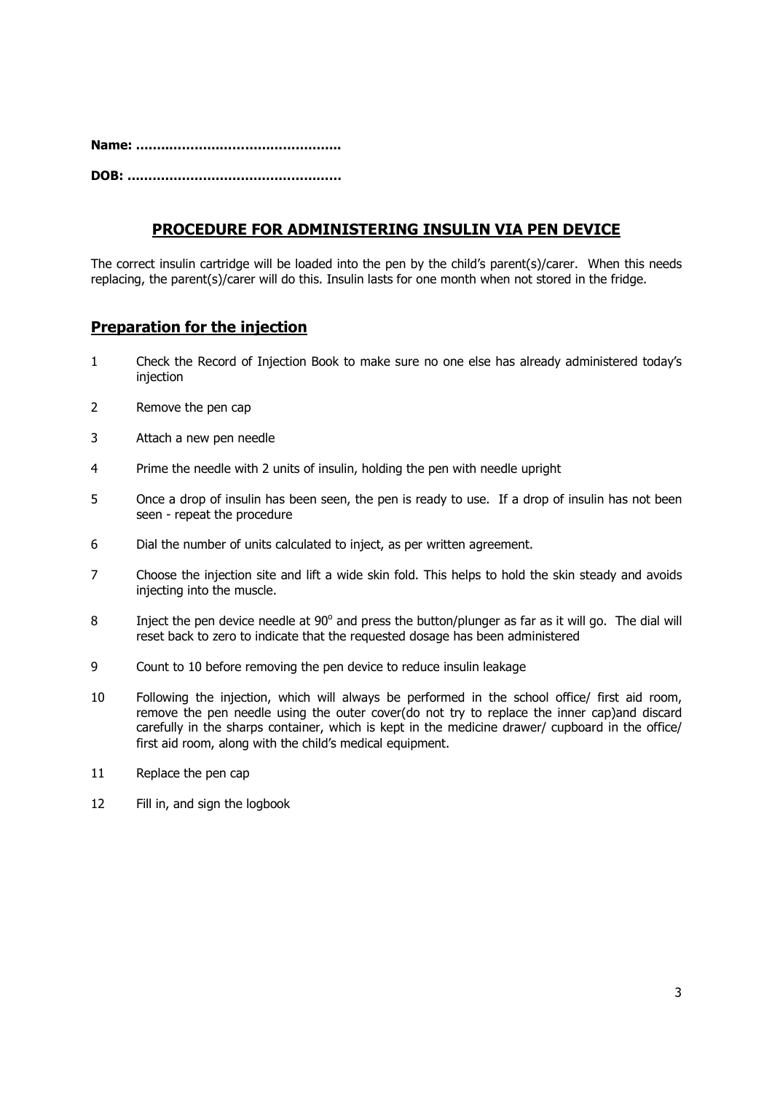Name: ……..…………………………………..

DOB: ……………………………………………

## PROCEDURE FOR ADMINISTERING INSULIN VIA PEN DEVICE

The correct insulin cartridge will be loaded into the pen by the child's parent(s)/carer. When this needs replacing, the parent(s)/carer will do this. Insulin lasts for one month when not stored in the fridge.

### Preparation for the injection

- 1 Check the Record of Injection Book to make sure no one else has already administered today's injection
- 2 Remove the pen cap
- 3 Attach a new pen needle
- 4 Prime the needle with 2 units of insulin, holding the pen with needle upright
- 5 Once a drop of insulin has been seen, the pen is ready to use. If a drop of insulin has not been seen - repeat the procedure
- 6 Dial the number of units calculated to inject, as per written agreement.
- 7 Choose the injection site and lift a wide skin fold. This helps to hold the skin steady and avoids injecting into the muscle.
- 8 Inject the pen device needle at  $90^\circ$  and press the button/plunger as far as it will go. The dial will reset back to zero to indicate that the requested dosage has been administered
- 9 Count to 10 before removing the pen device to reduce insulin leakage
- 10 Following the injection, which will always be performed in the school office/ first aid room, remove the pen needle using the outer cover(do not try to replace the inner cap)and discard carefully in the sharps container, which is kept in the medicine drawer/ cupboard in the office/ first aid room, along with the child's medical equipment.
- 11 Replace the pen cap
- 12 Fill in, and sign the logbook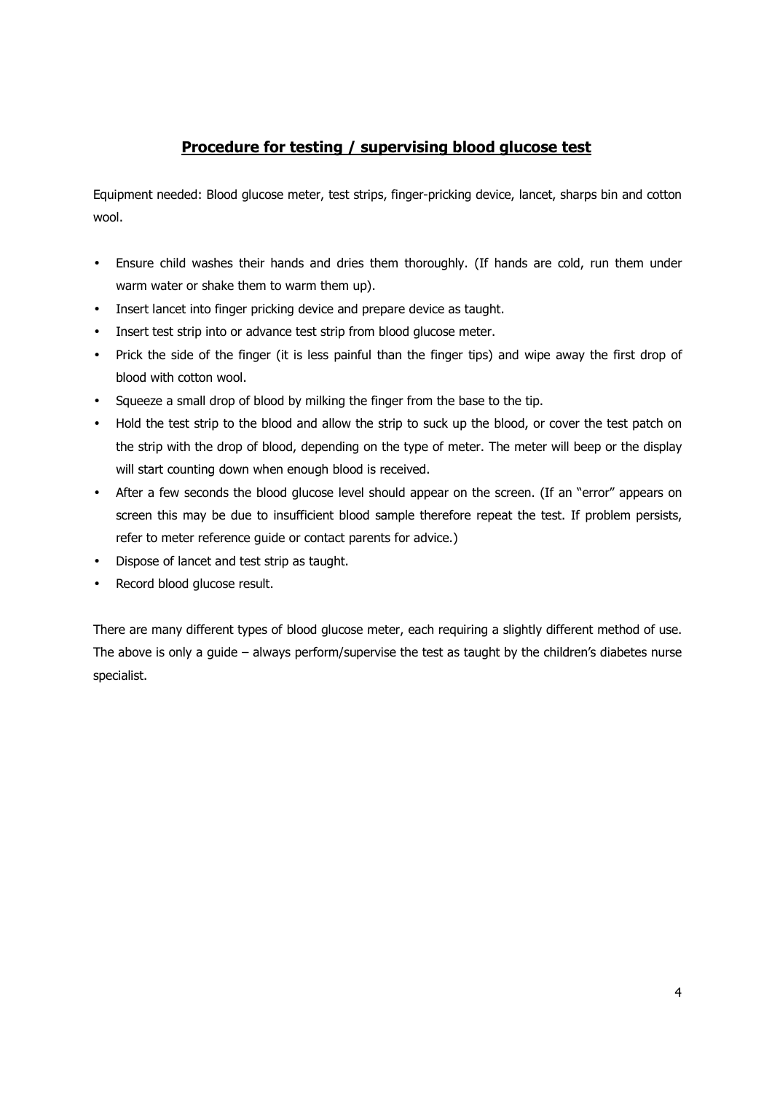## Procedure for testing / supervising blood glucose test

Equipment needed: Blood glucose meter, test strips, finger-pricking device, lancet, sharps bin and cotton wool.

- Ensure child washes their hands and dries them thoroughly. (If hands are cold, run them under warm water or shake them to warm them up).
- Insert lancet into finger pricking device and prepare device as taught.
- Insert test strip into or advance test strip from blood glucose meter.
- Prick the side of the finger (it is less painful than the finger tips) and wipe away the first drop of blood with cotton wool.
- Squeeze a small drop of blood by milking the finger from the base to the tip.
- Hold the test strip to the blood and allow the strip to suck up the blood, or cover the test patch on the strip with the drop of blood, depending on the type of meter. The meter will beep or the display will start counting down when enough blood is received.
- After a few seconds the blood glucose level should appear on the screen. (If an "error" appears on screen this may be due to insufficient blood sample therefore repeat the test. If problem persists, refer to meter reference guide or contact parents for advice.)
- Dispose of lancet and test strip as taught.
- Record blood glucose result.

There are many different types of blood glucose meter, each requiring a slightly different method of use. The above is only a guide – always perform/supervise the test as taught by the children's diabetes nurse specialist.